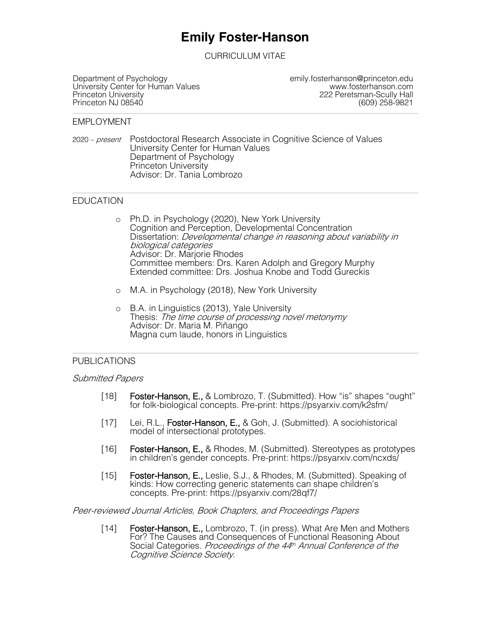# **Emily Foster-Hanson**

CURRICULUM VITAE

Department of Psychology<br>
University Center for Human Values<br>
Www.fosterhanson.com University Center for Human Values<br>Princeton University Princeton NJ 08540

Peretsman-Scully Hall<br>609) 258-9821

#### EMPLOYMENT

2020 – present Postdoctoral Research Associate in Cognitive Science of Values University Center for Human Values Department of Psychology Princeton University Advisor: Dr. Tania Lombrozo

### EDUCATION

- o Ph.D. in Psychology (2020), New York University Cognition and Perception, Developmental Concentration Dissertation: *Developmental change in reasoning about variability in* biological categories Advisor: Dr. Marjorie Rhodes Committee members: Drs. Karen Adolph and Gregory Murphy Extended committee: Drs. Joshua Knobe and Todd Gureckis
- o M.A. in Psychology (2018), New York University
- o B.A. in Linguistics (2013), Yale University Thesis: The time course of processing novel metonymy Advisor: Dr. Maria M. Piñango Magna cum laude, honors in Linguistics

### PUBLICATIONS

### Submitted Papers

- [18] Foster-Hanson, E., & Lombrozo, T. (Submitted). How "is" shapes "ought" for folk-biological concepts. Pre-print: https://psyarxiv.com/k2sfm/
- [17] Lei, R.L., Foster-Hanson, E., & Goh, J. (Submitted). A sociohistorical model of intersectional prototypes.
- [16] Foster-Hanson, E., & Rhodes, M. (Submitted). Stereotypes as prototypes in children's gender concepts. Pre-print: https://psyarxiv.com/ncxds/
- [15] Foster-Hanson, E., Leslie, S.J., & Rhodes, M. (Submitted). Speaking of kinds: How correcting generic statements can shape children's concepts. Pre-print: https://psyarxiv.com/28qf7/

Peer-reviewed Journal Articles, Book Chapters, and Proceedings Papers

[14] Foster-Hanson, E., Lombrozo, T. (in press). What Are Men and Mothers For? The Causes and Consequences of Functional Reasoning About Social Categories. Proceedings of the 44<sup>th</sup> Annual Conference of the Cognitive Science Society.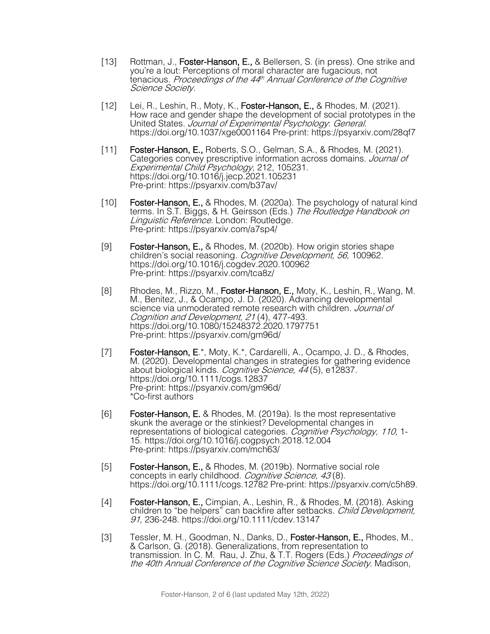- [13] Rottman, J., Foster-Hanson, E., & Bellersen, S. (in press). One strike and you're a lout: Perceptions of moral character are fugacious, not tenacious. Proceedings of the 44<sup>th</sup> Annual Conference of the Cognitive Science Society.
- [12] Lei, R., Leshin, R., Moty, K., Foster-Hanson, E., & Rhodes, M. (2021). How race and gender shape the development of social prototypes in the United States. Journal of Experimental Psychology. General. https://doi.org/10.1037/xge0001164 Pre-print: https://psyarxiv.com/28qf7
- [11] Foster-Hanson, E., Roberts, S.O., Gelman, S.A., & Rhodes, M. (2021). Categories convey prescriptive information across domains. Journal of Experimental Child Psychology, 212, 105231.<br>https://doi.org/10.1016/j.jecp.2021.105231 Pre-print: https://psyarxiv.com/b37av/
- [10] Foster-Hanson, E., & Rhodes, M. (2020a). The psychology of natural kind terms. In S.T. Biggs, & H. Geirsson (Eds.) The Routledge Handbook on Linguistic Reference. London: Routledge. Pre-print: https://psyarxiv.com/a7sp4/
- [9] **Foster-Hanson, E.,** & Rhodes, M. (2020b). How origin stories shape children's social reasoning. Cognitive Development, 56, 100962. https://doi.org/10.1016/j.cogdev.2020.100962 Pre-print: https://psyarxiv.com/tca8z/
- [8] Rhodes, M., Rizzo, M., Foster-Hanson, E., Moty, K., Leshin, R., Wang, M. M., Benitez, J., & Ocampo, J. D. (2020). Advancing developmental science via unmoderated remote research with children. Journal of Cognition and Development, 21 (4), 477-493. https://doi.org/10.1080/15248372.2020.1797751 Pre-print: https://psyarxiv.com/gm96d/
- [7] Foster-Hanson, E.\*, Moty, K.\*, Cardarelli, A., Ocampo, J. D., & Rhodes, M. (2020). Developmental changes in strategies for gathering evidence about biological kinds. *Cognitive Science, 44* (5), e12837.<br>https://doi.org/10.1111/cogs.12837 Pre-print: https://psyarxiv.com/gm96d/ \*Co-first authors
- [6] Foster-Hanson, E. & Rhodes, M. (2019a). Is the most representative skunk the average or the stinkiest? Developmental changes in representations of biological categories. *Cognitive Psychology, 110,* 1-<br>15. https://doi.org/10.1016/j.cogpsych.2018.12.004 Pre-print: https://psyarxiv.com/mch63/
- [5] Foster-Hanson, E., & Rhodes, M. (2019b). Normative social role concepts in early childhood. Cognitive Science, 43(8). https://doi.org/10.1111/cogs.12782 Pre-print: https://psyarxiv.com/c5h89.
- [4] Foster-Hanson, E., Cimpian, A., Leshin, R., & Rhodes, M. (2018). Asking children to "be helpers" can backfire after setbacks. Child Development, 91, 236-248. https://doi.org/10.1111/cdev.13147
- [3] Tessler, M. H., Goodman, N., Danks, D., Foster-Hanson, E., Rhodes, M., & Carlson, G. (2018). Generalizations, from representation to transmission. In C. M. Rau, J. Zhu, & T.T. Rogers (Eds.) Proceedings of the 40th Annual Conference of the Cognitive Science Society. Madison,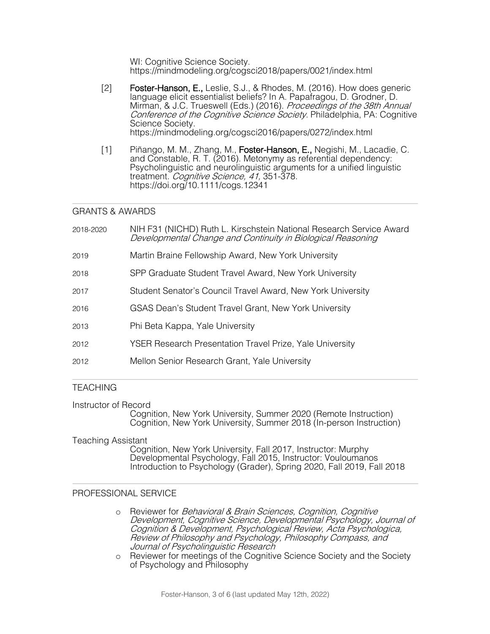WI: Cognitive Science Society. https://mindmodeling.org/cogsci2018/papers/0021/index.html

- [2] Foster-Hanson, E., Leslie, S.J., & Rhodes, M. (2016). How does generic language elicit essentialist beliefs? In A. Papafragou, D. Grodner, D. Mirman, & J.C. Trueswell (Eds.) (2016). *Proceedings of the 38th Annual* Conference of the Cognitive Science Society. Philadelphia, PA: Cognitive Science Society. https://mindmodeling.org/cogsci2016/papers/0272/index.html
- [1] Piñango, M. M., Zhang, M., Foster-Hanson, E., Negishi, M., Lacadie, C. and Constable, R. T. (2016). Metonymy as referential dependency: Psycholinguistic and neurolinguistic arguments for a unified linguistic treatment. Cognitive Science, 41, 351-378. https://doi.org/10.1111/cogs.12341

# GRANTS & AWARDS

| 2018-2020 | NIH F31 (NICHD) Ruth L. Kirschstein National Research Service Award<br>Developmental Change and Continuity in Biological Reasoning |
|-----------|------------------------------------------------------------------------------------------------------------------------------------|
| 2019      | Martin Braine Fellowship Award, New York University                                                                                |
| 2018      | SPP Graduate Student Travel Award, New York University                                                                             |
| 2017      | Student Senator's Council Travel Award, New York University                                                                        |
| 2016      | GSAS Dean's Student Travel Grant, New York University                                                                              |
| 2013      | Phi Beta Kappa, Yale University                                                                                                    |
| 2012      | <b>YSER Research Presentation Travel Prize, Yale University</b>                                                                    |
| 2012      | Mellon Senior Research Grant, Yale University                                                                                      |
|           |                                                                                                                                    |

# **TEACHING**

Instructor of Record

Cognition, New York University, Summer 2020 (Remote Instruction) Cognition, New York University, Summer 2018 (In-person Instruction)

## Teaching Assistant

Cognition, New York University, Fall 2017, Instructor: Murphy Developmental Psychology, Fall 2015, Instructor: Vouloumanos Introduction to Psychology (Grader), Spring 2020, Fall 2019, Fall 2018

# PROFESSIONAL SERVICE

- o Reviewer for Behavioral & Brain Sciences, Cognition, Cognitive Development, Cognitive Science, Developmental Psychology, Journal of Cognition & Development, Psychological Review, Acta Psychologica, Review of Philosophy and Psychology, Philosophy Compass, and Journal of Psycholinguistic Research
- o Reviewer for meetings of the Cognitive Science Society and the Society of Psychology and Philosophy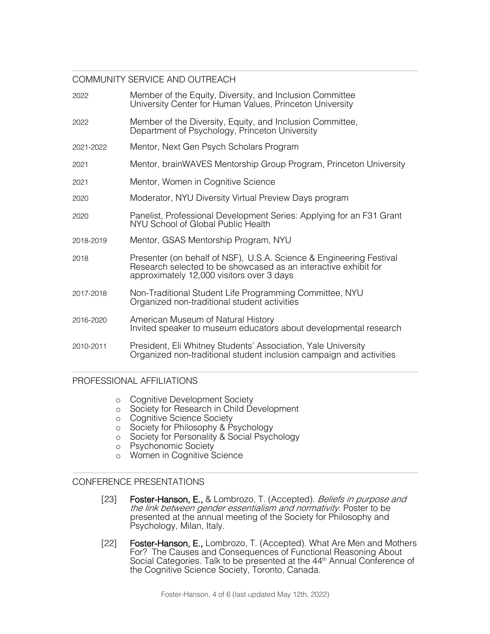# COMMUNITY SERVICE AND OUTREACH

| 2022      | Member of the Equity, Diversity, and Inclusion Committee<br>University Center for Human Values, Princeton University                                                                |
|-----------|-------------------------------------------------------------------------------------------------------------------------------------------------------------------------------------|
| 2022      | Member of the Diversity, Equity, and Inclusion Committee,<br>Department of Psychology, Princeton University                                                                         |
| 2021-2022 | Mentor, Next Gen Psych Scholars Program                                                                                                                                             |
| 2021      | Mentor, brainWAVES Mentorship Group Program, Princeton University                                                                                                                   |
| 2021      | Mentor, Women in Cognitive Science                                                                                                                                                  |
| 2020      | Moderator, NYU Diversity Virtual Preview Days program                                                                                                                               |
| 2020      | Panelist, Professional Development Series: Applying for an F31 Grant<br>NYU School of Global Public Health                                                                          |
| 2018-2019 | Mentor, GSAS Mentorship Program, NYU                                                                                                                                                |
| 2018      | Presenter (on behalf of NSF), U.S.A. Science & Engineering Festival<br>Research selected to be showcased as an interactive exhibit for<br>approximately 12,000 visitors over 3 days |
| 2017-2018 | Non-Traditional Student Life Programming Committee, NYU<br>Organized non-traditional student activities                                                                             |
| 2016-2020 | American Museum of Natural History<br>Invited speaker to museum educators about developmental research                                                                              |
| 2010-2011 | President, Eli Whitney Students' Association, Yale University<br>Organized non-traditional student inclusion campaign and activities                                                |

## PROFESSIONAL AFFILIATIONS

- o Cognitive Development Society
- o Society for Research in Child Development
- o Cognitive Science Society
- o Society for Philosophy & Psychology
- o Society for Personality & Social Psychology
- o Psychonomic Society
- o Women in Cognitive Science

## CONFERENCE PRESENTATIONS

- [23] Foster-Hanson, E., & Lombrozo, T. (Accepted). Beliefs in purpose and the link between gender essentialism and normativity. Poster to be presented at the annual meeting of the Society for Philosophy and Psychology, Milan, Italy.
- [22] Foster-Hanson, E., Lombrozo, T. (Accepted). What Are Men and Mothers For? The Causes and Consequences of Functional Reasoning About Social Categories. Talk to be presented at the 44<sup>th</sup> Annual Conference of the Cognitive Science Society, Toronto, Canada.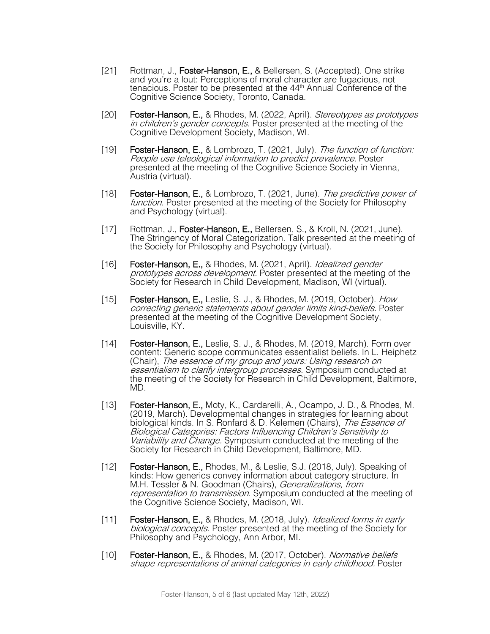- [21] Rottman, J., Foster-Hanson, E., & Bellersen, S. (Accepted). One strike and you're a lout: Perceptions of moral character are fugacious, not tenacious. Poster to be presented at the 44<sup>th</sup> Annual Conference of the Cognitive Science Society, Toronto, Canada.
- [20] Foster-Hanson, E., & Rhodes, M. (2022, April). Stereotypes as prototypes in children's gender concepts. Poster presented at the meeting of the Cognitive Development Society, Madison, WI.
- [19] **Foster-Hanson, E., &** Lombrozo, T. (2021, July). The function of function: People use teleological information to predict prevalence. Poster presented at the meeting of the Cognitive Science Society in Vienna, Austria (virtual).
- [18] **Foster-Hanson, E., &** Lombrozo, T. (2021, June). The predictive power of function. Poster presented at the meeting of the Society for Philosophy and Psychology (virtual).
- [17] Rottman, J., Foster-Hanson, E., Bellersen, S., & Kroll, N. (2021, June). The Stringency of Moral Categorization. Talk presented at the meeting of the Society for Philosophy and Psychology (virtual).
- [16] Foster-Hanson, E., & Rhodes, M. (2021, April). *Idealized gender* prototypes across development. Poster presented at the meeting of the Society for Research in Child Development, Madison, WI (virtual).
- [15] **Foster-Hanson, E., Leslie, S. J., & Rhodes, M. (2019, October).** How correcting generic statements about gender limits kind-beliefs. Poster presented at the meeting of the Cognitive Development Society, Louisville, KY.
- [14] Foster-Hanson, E., Leslie, S. J., & Rhodes, M. (2019, March). Form over content: Generic scope communicates essentialist beliefs. In L. Heiphetz (Chair), The essence of my group and yours: Using research on essentialism to clarify intergroup processes. Symposium conducted at the meeting of the Society for Research in Child Development, Baltimore, MD.
- [13] Foster-Hanson, E., Moty, K., Cardarelli, A., Ocampo, J. D., & Rhodes, M. (2019, March). Developmental changes in strategies for learning about biological kinds. In S. Ronfard & D. Kelemen (Chairs), The Essence of Biological Categories: Factors Influencing Children's Sensitivity to Variability and Change. Symposium conducted at the meeting of the Society for Research in Child Development, Baltimore, MD.
- [12] Foster-Hanson, E., Rhodes, M., & Leslie, S.J. (2018, July). Speaking of kinds: How generics convey information about category structure. In M.H. Tessler & N. Goodman (Chairs), *Generalizations, from* representation to transmission. Symposium conducted at the meeting of the Cognitive Science Society, Madison, WI.
- [11] Foster-Hanson, E., & Rhodes, M. (2018, July). Idealized forms in early biological concepts. Poster presented at the meeting of the Society for Philosophy and Psychology, Ann Arbor, MI.
- [10] Foster-Hanson, E., & Rhodes, M. (2017, October). Normative beliefs shape representations of animal categories in early childhood. Poster